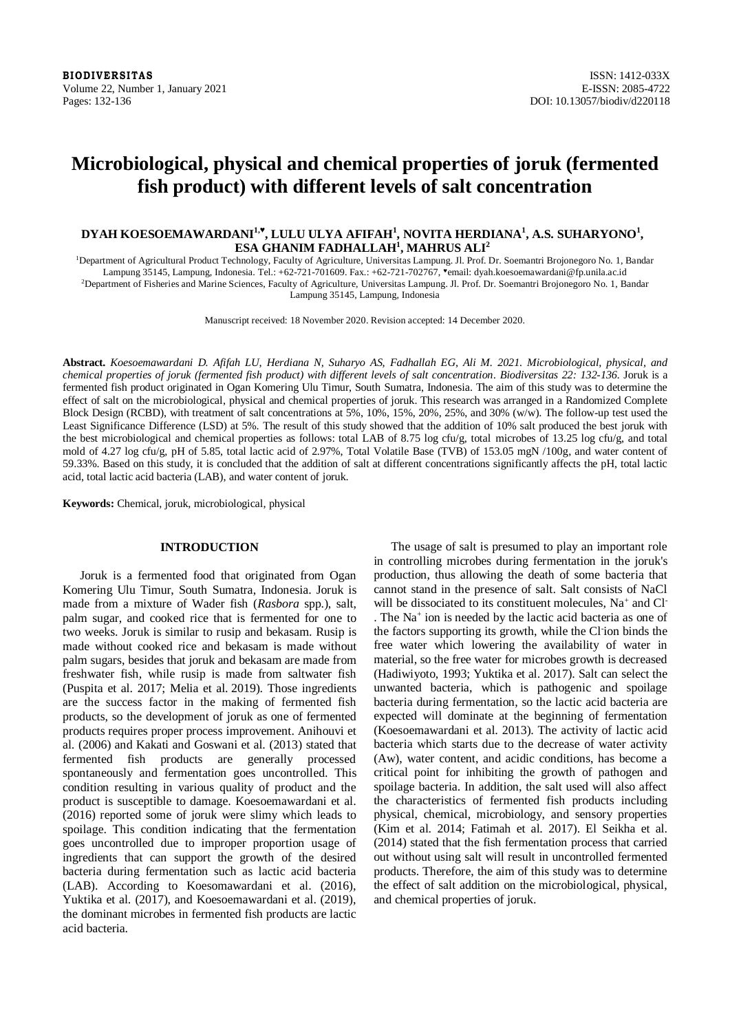# **Microbiological, physical and chemical properties of joruk (fermented fish product) with different levels of salt concentration**

# **DYAH KOESOEMAWARDANI1,♥ , LULU ULYA AFIFAH<sup>1</sup> , NOVITA HERDIANA<sup>1</sup> , A.S. SUHARYONO<sup>1</sup> , ESA GHANIM FADHALLAH<sup>1</sup> , MAHRUS ALI<sup>2</sup>**

<sup>1</sup>Department of Agricultural Product Technology, Faculty of Agriculture, Universitas Lampung. Jl. Prof. Dr. Soemantri Brojonegoro No. 1, Bandar Lampung 35145, Lampung, Indonesia. Tel.: +62-721-701609. Fax.: +62-721-702767, email: dyah.koesoemawardani@fp.unila.ac.id <sup>2</sup>Department of Fisheries and Marine Sciences, Faculty of Agriculture, Universitas Lampung. Jl. Prof. Dr. Soemantri Brojonegoro No. 1, Bandar Lampung 35145, Lampung, Indonesia

Manuscript received: 18 November 2020. Revision accepted: 14 December 2020.

**Abstract.** *Koesoemawardani D. Afifah LU, Herdiana N, Suharyo AS, Fadhallah EG, Ali M. 2021. Microbiological, physical, and chemical properties of joruk (fermented fish product) with different levels of salt concentration. Biodiversitas 22: 132-136.* Joruk is a fermented fish product originated in Ogan Komering Ulu Timur, South Sumatra, Indonesia. The aim of this study was to determine the effect of salt on the microbiological, physical and chemical properties of joruk. This research was arranged in a Randomized Complete Block Design (RCBD), with treatment of salt concentrations at 5%, 10%, 15%, 20%, 25%, and 30% (w/w). The follow-up test used the Least Significance Difference (LSD) at 5%. The result of this study showed that the addition of 10% salt produced the best joruk with the best microbiological and chemical properties as follows: total LAB of 8.75 log cfu/g, total microbes of 13.25 log cfu/g, and total mold of 4.27 log cfu/g, pH of 5.85, total lactic acid of 2.97%, Total Volatile Base (TVB) of 153.05 mgN /100g, and water content of 59.33%. Based on this study, it is concluded that the addition of salt at different concentrations significantly affects the pH, total lactic acid, total lactic acid bacteria (LAB), and water content of joruk.

**Keywords:** Chemical, joruk, microbiological, physical

## **INTRODUCTION**

Joruk is a fermented food that originated from Ogan Komering Ulu Timur, South Sumatra, Indonesia. Joruk is made from a mixture of Wader fish (*Rasbora* spp.), salt, palm sugar, and cooked rice that is fermented for one to two weeks. Joruk is similar to rusip and bekasam. Rusip is made without cooked rice and bekasam is made without palm sugars, besides that joruk and bekasam are made from freshwater fish, while rusip is made from saltwater fish (Puspita et al. 2017; Melia et al. 2019). Those ingredients are the success factor in the making of fermented fish products, so the development of joruk as one of fermented products requires proper process improvement. Anihouvi et al. (2006) and Kakati and Goswani et al. (2013) stated that fermented fish products are generally processed spontaneously and fermentation goes uncontrolled. This condition resulting in various quality of product and the product is susceptible to damage. Koesoemawardani et al. (2016) reported some of joruk were slimy which leads to spoilage. This condition indicating that the fermentation goes uncontrolled due to improper proportion usage of ingredients that can support the growth of the desired bacteria during fermentation such as lactic acid bacteria (LAB). According to Koesomawardani et al. (2016), Yuktika et al. (2017), and Koesoemawardani et al. (2019), the dominant microbes in fermented fish products are lactic acid bacteria.

The usage of salt is presumed to play an important role in controlling microbes during fermentation in the joruk's production, thus allowing the death of some bacteria that cannot stand in the presence of salt. Salt consists of NaCl will be dissociated to its constituent molecules, Na<sup>+</sup> and Cl<sup>-</sup> . The Na<sup>+</sup> ion is needed by the lactic acid bacteria as one of the factors supporting its growth, while the Cl ion binds the free water which lowering the availability of water in material, so the free water for microbes growth is decreased (Hadiwiyoto, 1993; Yuktika et al. 2017). Salt can select the unwanted bacteria, which is pathogenic and spoilage bacteria during fermentation, so the lactic acid bacteria are expected will dominate at the beginning of fermentation (Koesoemawardani et al. 2013). The activity of lactic acid bacteria which starts due to the decrease of water activity (Aw), water content, and acidic conditions, has become a critical point for inhibiting the growth of pathogen and spoilage bacteria. In addition, the salt used will also affect the characteristics of fermented fish products including physical, chemical, microbiology, and sensory properties (Kim et al. 2014; Fatimah et al. 2017). El Seikha et al. (2014) stated that the fish fermentation process that carried out without using salt will result in uncontrolled fermented products. Therefore, the aim of this study was to determine the effect of salt addition on the microbiological, physical, and chemical properties of joruk.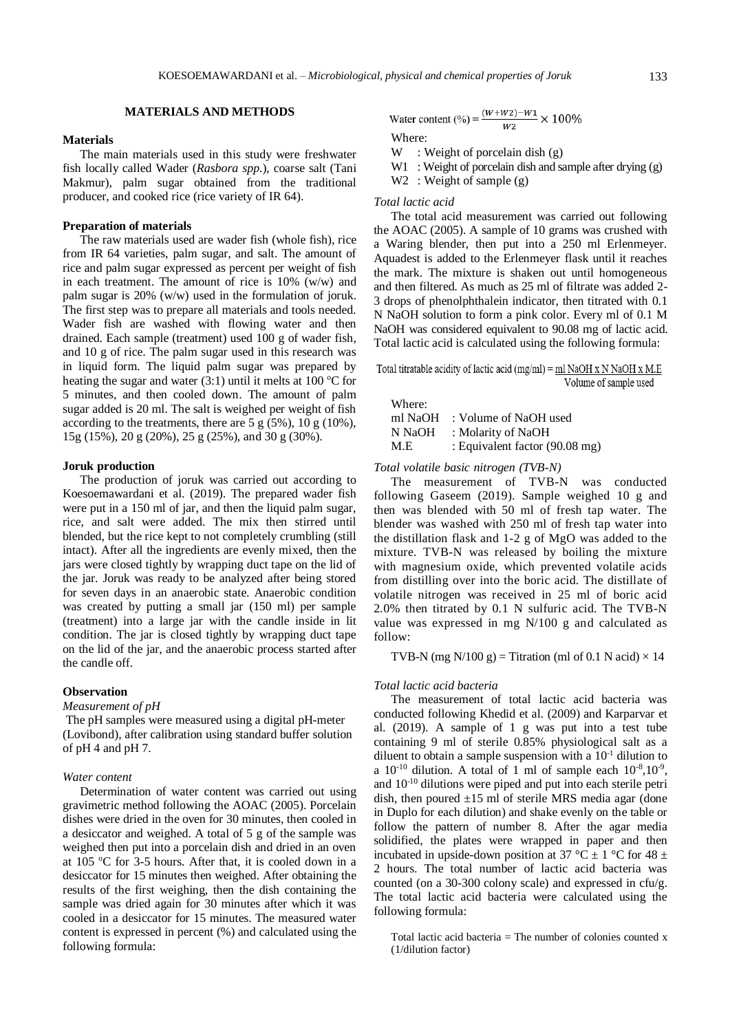#### **MATERIALS AND METHODS**

## **Materials**

The main materials used in this study were freshwater fish locally called Wader (*Rasbora spp*.), coarse salt (Tani Makmur), palm sugar obtained from the traditional producer, and cooked rice (rice variety of IR 64).

#### **Preparation of materials**

The raw materials used are wader fish (whole fish), rice from IR 64 varieties, palm sugar, and salt. The amount of rice and palm sugar expressed as percent per weight of fish in each treatment. The amount of rice is 10% (w/w) and palm sugar is 20% (w/w) used in the formulation of joruk. The first step was to prepare all materials and tools needed. Wader fish are washed with flowing water and then drained. Each sample (treatment) used 100 g of wader fish, and 10 g of rice. The palm sugar used in this research was in liquid form. The liquid palm sugar was prepared by heating the sugar and water (3:1) until it melts at 100  $\rm{°C}$  for 5 minutes, and then cooled down. The amount of palm sugar added is 20 ml. The salt is weighed per weight of fish according to the treatments, there are  $5 g (5\%)$ ,  $10 g (10\%)$ , 15g (15%), 20 g (20%), 25 g (25%), and 30 g (30%).

#### **Joruk production**

The production of joruk was carried out according to Koesoemawardani et al. (2019). The prepared wader fish were put in a 150 ml of jar, and then the liquid palm sugar, rice, and salt were added. The mix then stirred until blended, but the rice kept to not completely crumbling (still intact). After all the ingredients are evenly mixed, then the jars were closed tightly by wrapping duct tape on the lid of the jar. Joruk was ready to be analyzed after being stored for seven days in an anaerobic state. Anaerobic condition was created by putting a small jar (150 ml) per sample (treatment) into a large jar with the candle inside in lit condition. The jar is closed tightly by wrapping duct tape on the lid of the jar, and the anaerobic process started after the candle off.

# **Observation**

# *Measurement of pH*

The pH samples were measured using a digital pH-meter (Lovibond), after calibration using standard buffer solution of pH 4 and pH 7.

#### *Water content*

Determination of water content was carried out using gravimetric method following the AOAC (2005). Porcelain dishes were dried in the oven for 30 minutes, then cooled in a desiccator and weighed. A total of 5 g of the sample was weighed then put into a porcelain dish and dried in an oven at 105 <sup>o</sup>C for 3-5 hours. After that, it is cooled down in a desiccator for 15 minutes then weighed. After obtaining the results of the first weighing, then the dish containing the sample was dried again for 30 minutes after which it was cooled in a desiccator for 15 minutes. The measured water content is expressed in percent (%) and calculated using the following formula:

Water content (%) = 
$$
\frac{(W+W2)-W1}{W2} \times 100\%
$$

Where:

W : Weight of porcelain dish (g)

W1 : Weight of porcelain dish and sample after drying (g)

W<sub>2</sub> : Weight of sample (g)

## *Total lactic acid*

The total acid measurement was carried out following the AOAC (2005). A sample of 10 grams was crushed with a Waring blender, then put into a 250 ml Erlenmeyer. Aquadest is added to the Erlenmeyer flask until it reaches the mark. The mixture is shaken out until homogeneous and then filtered. As much as 25 ml of filtrate was added 2- 3 drops of phenolphthalein indicator, then titrated with 0.1 N NaOH solution to form a pink color. Every ml of 0.1 M NaOH was considered equivalent to 90.08 mg of lactic acid. Total lactic acid is calculated using the following formula:

Total titratable acidity of lactic acid (mg/ml) =  $ml$  NaOH x N NaOH x M.E Volume of sample used

| Where:  |                                |
|---------|--------------------------------|
| ml NaOH | : Volume of NaOH used          |
| N NaOH  | : Molarity of NaOH             |
| M.E     | : Equivalent factor (90.08 mg) |

*Total volatile basic nitrogen (TVB-N)*

The measurement of TVB-N was conducted following Gaseem (2019). Sample weighed 10 g and then was blended with 50 ml of fresh tap water. The blender was washed with 250 ml of fresh tap water into the distillation flask and 1-2 g of MgO was added to the mixture. TVB-N was released by boiling the mixture with magnesium oxide, which prevented volatile acids from distilling over into the boric acid. The distillate of volatile nitrogen was received in 25 ml of boric acid 2.0% then titrated by 0.1 N sulfuric acid. The TVB-N value was expressed in mg N/100 g and calculated as follow:

TVB-N (mg N/100 g) = Titration (ml of 0.1 N acid)  $\times$  14

#### *Total lactic acid bacteria*

The measurement of total lactic acid bacteria was conducted following Khedid et al. (2009) and Karparvar et al. (2019). A sample of 1 g was put into a test tube containing 9 ml of sterile 0.85% physiological salt as a diluent to obtain a sample suspension with a  $10^{-1}$  dilution to a  $10^{-10}$  dilution. A total of 1 ml of sample each  $10^{-8}, 10^{-9}$ , and 10-10 dilutions were piped and put into each sterile petri dish, then poured  $\pm 15$  ml of sterile MRS media agar (done in Duplo for each dilution) and shake evenly on the table or follow the pattern of number 8. After the agar media solidified, the plates were wrapped in paper and then incubated in upside-down position at 37 °C  $\pm$  1 °C for 48  $\pm$ 2 hours. The total number of lactic acid bacteria was counted (on a 30-300 colony scale) and expressed in cfu/g. The total lactic acid bacteria were calculated using the following formula:

Total lactic acid bacteria = The number of colonies counted x (1/dilution factor)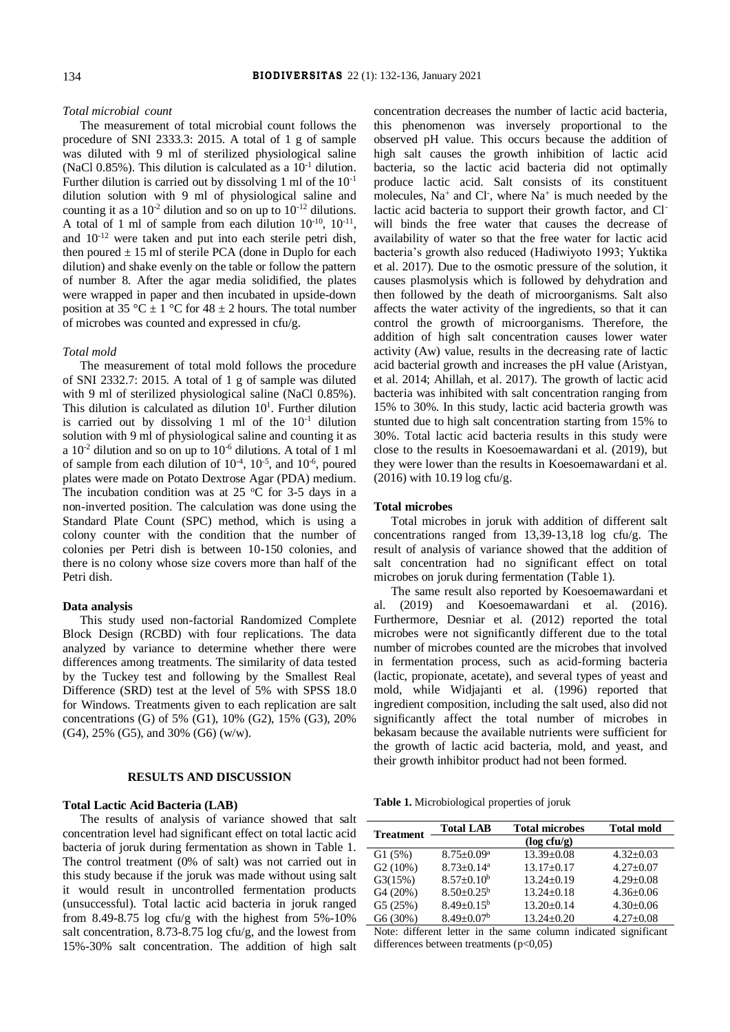## *Total microbial count*

The measurement of total microbial count follows the procedure of SNI 2333.3: 2015. A total of 1 g of sample was diluted with 9 ml of sterilized physiological saline (NaCl 0.85%). This dilution is calculated as a  $10^{-1}$  dilution. Further dilution is carried out by dissolving 1 ml of the  $10^{-1}$ dilution solution with 9 ml of physiological saline and counting it as a  $10^{-2}$  dilution and so on up to  $10^{-12}$  dilutions. A total of 1 ml of sample from each dilution  $10^{-10}$ ,  $10^{-11}$ , and  $10^{-12}$  were taken and put into each sterile petri dish, then poured  $\pm$  15 ml of sterile PCA (done in Duplo for each dilution) and shake evenly on the table or follow the pattern of number 8. After the agar media solidified, the plates were wrapped in paper and then incubated in upside-down position at 35 °C  $\pm$  1 °C for 48  $\pm$  2 hours. The total number of microbes was counted and expressed in cfu/g.

## *Total mold*

The measurement of total mold follows the procedure of SNI 2332.7: 2015. A total of 1 g of sample was diluted with 9 ml of sterilized physiological saline (NaCl 0.85%). This dilution is calculated as dilution  $10<sup>1</sup>$ . Further dilution is carried out by dissolving 1 ml of the  $10^{-1}$  dilution solution with 9 ml of physiological saline and counting it as a  $10^{-2}$  dilution and so on up to  $10^{-6}$  dilutions. A total of 1 ml of sample from each dilution of  $10^{-4}$ ,  $10^{-5}$ , and  $10^{-6}$ , poured plates were made on Potato Dextrose Agar (PDA) medium. The incubation condition was at 25  $\,^{\circ}$ C for 3-5 days in a non-inverted position. The calculation was done using the Standard Plate Count (SPC) method, which is using a colony counter with the condition that the number of colonies per Petri dish is between 10-150 colonies, and there is no colony whose size covers more than half of the Petri dish.

## **Data analysis**

This study used non-factorial Randomized Complete Block Design (RCBD) with four replications. The data analyzed by variance to determine whether there were differences among treatments. The similarity of data tested by the Tuckey test and following by the Smallest Real Difference (SRD) test at the level of 5% with SPSS 18.0 for Windows. Treatments given to each replication are salt concentrations (G) of 5% (G1), 10% (G2), 15% (G3), 20% (G4), 25% (G5), and 30% (G6) (w/w).

#### **RESULTS AND DISCUSSION**

### **Total Lactic Acid Bacteria (LAB)**

The results of analysis of variance showed that salt concentration level had significant effect on total lactic acid bacteria of joruk during fermentation as shown in Table 1. The control treatment (0% of salt) was not carried out in this study because if the joruk was made without using salt it would result in uncontrolled fermentation products (unsuccessful). Total lactic acid bacteria in joruk ranged from 8.49-8.75 log cfu/g with the highest from 5%-10% salt concentration, 8.73-8.75 log cfu/g, and the lowest from 15%-30% salt concentration. The addition of high salt

concentration decreases the number of lactic acid bacteria, this phenomenon was inversely proportional to the observed pH value. This occurs because the addition of high salt causes the growth inhibition of lactic acid bacteria, so the lactic acid bacteria did not optimally produce lactic acid. Salt consists of its constituent molecules,  $Na^+$  and Cl<sup>-</sup>, where  $Na^+$  is much needed by the lactic acid bacteria to support their growth factor, and Clwill binds the free water that causes the decrease of availability of water so that the free water for lactic acid bacteria's growth also reduced (Hadiwiyoto 1993; Yuktika et al. 2017). Due to the osmotic pressure of the solution, it causes plasmolysis which is followed by dehydration and then followed by the death of microorganisms. Salt also affects the water activity of the ingredients, so that it can control the growth of microorganisms. Therefore, the addition of high salt concentration causes lower water activity (Aw) value, results in the decreasing rate of lactic acid bacterial growth and increases the pH value (Aristyan, et al. 2014; Ahillah, et al. 2017). The growth of lactic acid bacteria was inhibited with salt concentration ranging from 15% to 30%. In this study, lactic acid bacteria growth was stunted due to high salt concentration starting from 15% to 30%. Total lactic acid bacteria results in this study were close to the results in Koesoemawardani et al. (2019), but they were lower than the results in Koesoemawardani et al. (2016) with 10.19 log cfu/g.

#### **Total microbes**

Total microbes in joruk with addition of different salt concentrations ranged from 13,39-13,18 log cfu/g. The result of analysis of variance showed that the addition of salt concentration had no significant effect on total microbes on joruk during fermentation (Table 1).

The same result also reported by Koesoemawardani et al. (2019) and Koesoemawardani et al. (2016). Furthermore, Desniar et al. (2012) reported the total microbes were not significantly different due to the total number of microbes counted are the microbes that involved in fermentation process, such as acid-forming bacteria (lactic, propionate, acetate), and several types of yeast and mold, while Widjajanti et al. (1996) reported that ingredient composition, including the salt used, also did not significantly affect the total number of microbes in bekasam because the available nutrients were sufficient for the growth of lactic acid bacteria, mold, and yeast, and their growth inhibitor product had not been formed.

**Table 1.** Microbiological properties of joruk

| <b>Treatment</b> | <b>Total LAB</b>             | <b>Total microbes</b> | <b>Total mold</b> |
|------------------|------------------------------|-----------------------|-------------------|
|                  |                              | $(\log c f u/g)$      |                   |
| G1(5%)           | $8.75 \pm 0.09^{\mathrm{a}}$ | $13.39 \pm 0.08$      | $4.32+0.03$       |
| G2(10%)          | $8.73 \pm 0.14$ <sup>a</sup> | $13.17 + 0.17$        | $4.27+0.07$       |
| G3(15%)          | $8.57+0.10b$                 | $13.24 + 0.19$        | $4.29 + 0.08$     |
| G4 (20%)         | $8.50 + 0.25^{\circ}$        | $13.24 + 0.18$        | $4.36 \pm 0.06$   |
| G5(25%)          | $8.49 + 0.15^b$              | $13.20 + 0.14$        | $4.30 \pm 0.06$   |
| G6 (30%)         | $8.49 + 0.07b$               | $13.24 \pm 0.20$      | $4.27 \pm 0.08$   |

Note: different letter in the same column indicated significant differences between treatments (p<0,05)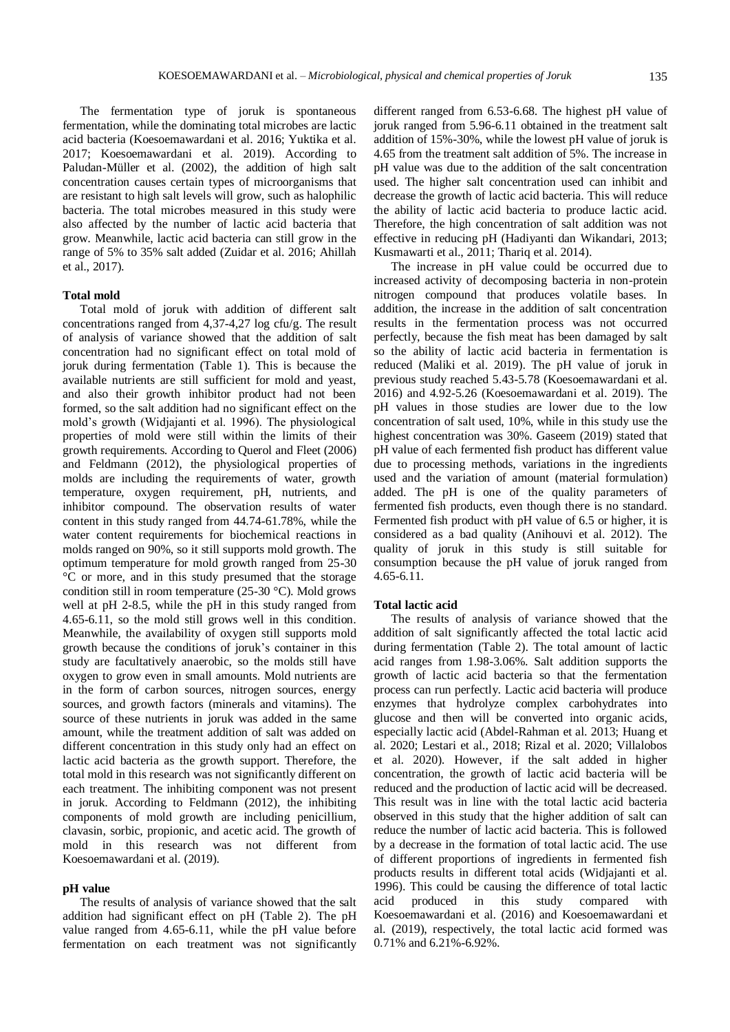The fermentation type of joruk is spontaneous fermentation, while the dominating total microbes are lactic acid bacteria (Koesoemawardani et al. 2016; Yuktika et al. 2017; Koesoemawardani et al. 2019). According to Paludan-Müller et al. (2002), the addition of high salt concentration causes certain types of microorganisms that are resistant to high salt levels will grow, such as halophilic bacteria. The total microbes measured in this study were also affected by the number of lactic acid bacteria that grow. Meanwhile, lactic acid bacteria can still grow in the range of 5% to 35% salt added (Zuidar et al. 2016; Ahillah et al., 2017).

## **Total mold**

Total mold of joruk with addition of different salt concentrations ranged from 4,37-4,27 log cfu/g. The result of analysis of variance showed that the addition of salt concentration had no significant effect on total mold of joruk during fermentation (Table 1). This is because the available nutrients are still sufficient for mold and yeast, and also their growth inhibitor product had not been formed, so the salt addition had no significant effect on the mold's growth (Widjajanti et al. 1996). The physiological properties of mold were still within the limits of their growth requirements. According to Querol and Fleet (2006) and Feldmann (2012), the physiological properties of molds are including the requirements of water, growth temperature, oxygen requirement, pH, nutrients, and inhibitor compound. The observation results of water content in this study ranged from 44.74-61.78%, while the water content requirements for biochemical reactions in molds ranged on 90%, so it still supports mold growth. The optimum temperature for mold growth ranged from 25-30 °C or more, and in this study presumed that the storage condition still in room temperature (25-30 °C). Mold grows well at pH 2-8.5, while the pH in this study ranged from 4.65-6.11, so the mold still grows well in this condition. Meanwhile, the availability of oxygen still supports mold growth because the conditions of joruk's container in this study are facultatively anaerobic, so the molds still have oxygen to grow even in small amounts. Mold nutrients are in the form of carbon sources, nitrogen sources, energy sources, and growth factors (minerals and vitamins). The source of these nutrients in joruk was added in the same amount, while the treatment addition of salt was added on different concentration in this study only had an effect on lactic acid bacteria as the growth support. Therefore, the total mold in this research was not significantly different on each treatment. The inhibiting component was not present in joruk. According to Feldmann (2012), the inhibiting components of mold growth are including penicillium, clavasin, sorbic, propionic, and acetic acid. The growth of mold in this research was not different from Koesoemawardani et al. (2019).

#### **pH value**

The results of analysis of variance showed that the salt addition had significant effect on pH (Table 2). The pH value ranged from 4.65-6.11, while the pH value before fermentation on each treatment was not significantly different ranged from 6.53-6.68. The highest pH value of joruk ranged from 5.96-6.11 obtained in the treatment salt addition of 15%-30%, while the lowest pH value of joruk is 4.65 from the treatment salt addition of 5%. The increase in pH value was due to the addition of the salt concentration used. The higher salt concentration used can inhibit and decrease the growth of lactic acid bacteria. This will reduce the ability of lactic acid bacteria to produce lactic acid. Therefore, the high concentration of salt addition was not effective in reducing pH (Hadiyanti dan Wikandari, 2013; Kusmawarti et al., 2011; Thariq et al. 2014).

The increase in pH value could be occurred due to increased activity of decomposing bacteria in non-protein nitrogen compound that produces volatile bases. In addition, the increase in the addition of salt concentration results in the fermentation process was not occurred perfectly, because the fish meat has been damaged by salt so the ability of lactic acid bacteria in fermentation is reduced (Maliki et al. 2019). The pH value of joruk in previous study reached 5.43-5.78 (Koesoemawardani et al. 2016) and 4.92-5.26 (Koesoemawardani et al. 2019). The pH values in those studies are lower due to the low concentration of salt used, 10%, while in this study use the highest concentration was 30%. Gaseem (2019) stated that pH value of each fermented fish product has different value due to processing methods, variations in the ingredients used and the variation of amount (material formulation) added. The pH is one of the quality parameters of fermented fish products, even though there is no standard. Fermented fish product with pH value of 6.5 or higher, it is considered as a bad quality (Anihouvi et al. 2012). The quality of joruk in this study is still suitable for consumption because the pH value of joruk ranged from 4.65-6.11.

#### **Total lactic acid**

The results of analysis of variance showed that the addition of salt significantly affected the total lactic acid during fermentation (Table 2). The total amount of lactic acid ranges from 1.98-3.06%. Salt addition supports the growth of lactic acid bacteria so that the fermentation process can run perfectly. Lactic acid bacteria will produce enzymes that hydrolyze complex carbohydrates into glucose and then will be converted into organic acids, especially lactic acid (Abdel-Rahman et al. 2013; Huang et al. 2020; Lestari et al., 2018; Rizal et al. 2020; Villalobos et al. 2020). However, if the salt added in higher concentration, the growth of lactic acid bacteria will be reduced and the production of lactic acid will be decreased. This result was in line with the total lactic acid bacteria observed in this study that the higher addition of salt can reduce the number of lactic acid bacteria. This is followed by a decrease in the formation of total lactic acid. The use of different proportions of ingredients in fermented fish products results in different total acids (Widjajanti et al. 1996). This could be causing the difference of total lactic acid produced in this study compared with Koesoemawardani et al. (2016) and Koesoemawardani et al. (2019), respectively, the total lactic acid formed was 0.71% and 6.21%-6.92%.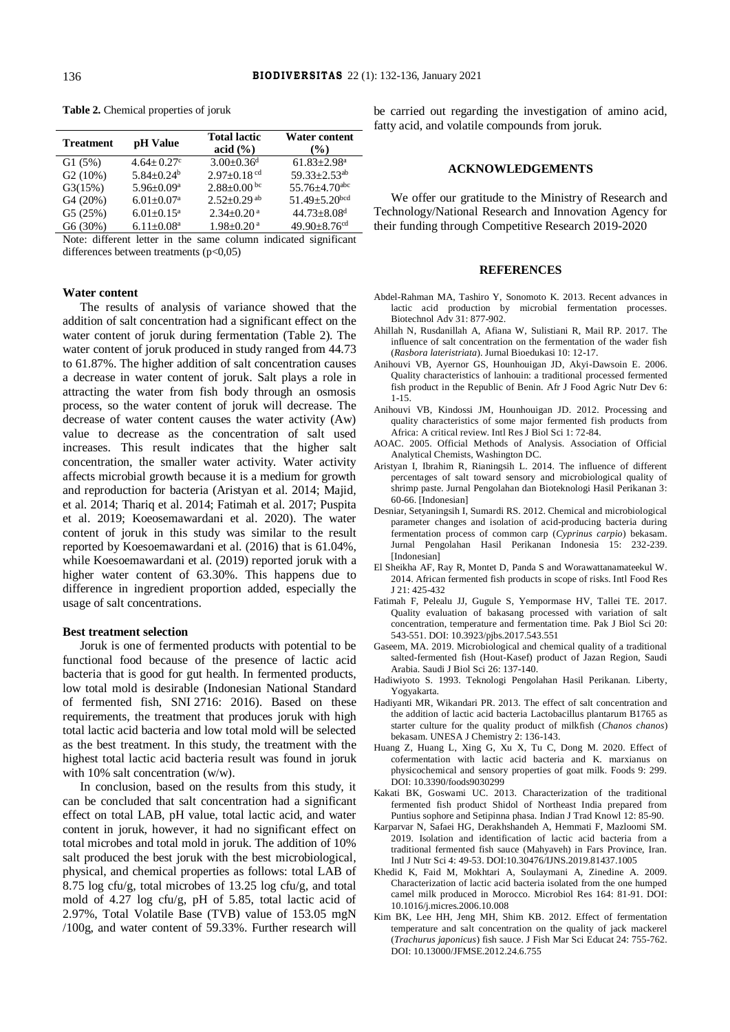| <b>Treatment</b> | pH Value                     | <b>Total lactic</b><br>acid $(\% )$ | <b>Water content</b><br>$($ %)  |
|------------------|------------------------------|-------------------------------------|---------------------------------|
| G1(5%)           | $4.64 + 0.27$ °              | $3.00 \pm 0.36$ <sup>d</sup>        | $61.83 \pm 2.98$ <sup>a</sup>   |
| G2(10%)          | $5.84 + 0.24^b$              | $2.97+0.18$ cd                      | $59.33 \pm 2.53$ <sup>ab</sup>  |
| G3(15%)          | $5.96 \pm 0.09^{\text{a}}$   | $2.88 \pm 0.00$ bc                  | 55.76 $\pm$ 4.70 <sup>abc</sup> |
| G4 (20%)         | $6.01 \pm 0.07$ <sup>a</sup> | $2.52 \pm 0.29$ <sup>ab</sup>       | 51.49 $\pm$ 5.20bcd             |
| G5(25%)          | $6.01 \pm 0.15^a$            | $2.34 \pm 0.20$ <sup>a</sup>        | $44.73 \pm 8.08$ <sup>d</sup>   |
| G6 (30%)         | $6.11 \pm 0.08$ <sup>a</sup> | $1.98 \pm 0.20$ <sup>a</sup>        | 49.90 $\pm$ 8.76 <sup>cd</sup>  |

**Table 2.** Chemical properties of joruk

Note: different letter in the same column indicated significant differences between treatments  $(p<0.05)$ 

# **Water content**

The results of analysis of variance showed that the addition of salt concentration had a significant effect on the water content of joruk during fermentation (Table 2). The water content of joruk produced in study ranged from 44.73 to 61.87%. The higher addition of salt concentration causes a decrease in water content of joruk. Salt plays a role in attracting the water from fish body through an osmosis process, so the water content of joruk will decrease. The decrease of water content causes the water activity (Aw) value to decrease as the concentration of salt used increases. This result indicates that the higher salt concentration, the smaller water activity. Water activity affects microbial growth because it is a medium for growth and reproduction for bacteria (Aristyan et al. 2014; Majid, et al. 2014; Thariq et al. 2014; Fatimah et al. 2017; Puspita et al. 2019; Koeosemawardani et al. 2020). The water content of joruk in this study was similar to the result reported by Koesoemawardani et al. (2016) that is 61.04%, while Koesoemawardani et al. (2019) reported joruk with a higher water content of 63.30%. This happens due to difference in ingredient proportion added, especially the usage of salt concentrations.

# **Best treatment selection**

Joruk is one of fermented products with potential to be functional food because of the presence of lactic acid bacteria that is good for gut health. In fermented products, low total mold is desirable (Indonesian National Standard of fermented fish, SNI 2716: 2016). Based on these requirements, the treatment that produces joruk with high total lactic acid bacteria and low total mold will be selected as the best treatment. In this study, the treatment with the highest total lactic acid bacteria result was found in joruk with 10% salt concentration (w/w).

In conclusion, based on the results from this study, it can be concluded that salt concentration had a significant effect on total LAB, pH value, total lactic acid, and water content in joruk, however, it had no significant effect on total microbes and total mold in joruk. The addition of 10% salt produced the best joruk with the best microbiological, physical, and chemical properties as follows: total LAB of 8.75 log cfu/g, total microbes of 13.25 log cfu/g, and total mold of 4.27 log cfu/g, pH of 5.85, total lactic acid of 2.97%, Total Volatile Base (TVB) value of 153.05 mgN /100g, and water content of 59.33%. Further research will

be carried out regarding the investigation of amino acid, fatty acid, and volatile compounds from joruk.

# **ACKNOWLEDGEMENTS**

We offer our gratitude to the Ministry of Research and Technology/National Research and Innovation Agency for their funding through Competitive Research 2019-2020

# **REFERENCES**

- Abdel-Rahman MA, Tashiro Y, Sonomoto K. 2013. Recent advances in lactic acid production by microbial fermentation processes. Biotechnol Adv 31: 877-902.
- Ahillah N, Rusdanillah A, Afiana W, Sulistiani R, Mail RP. 2017. The influence of salt concentration on the fermentation of the wader fish (*Rasbora lateristriata*). Jurnal Bioedukasi 10: 12-17.
- Anihouvi VB, Ayernor GS, Hounhouigan JD, Akyi-Dawsoin E. 2006. Quality characteristics of lanhouin: a traditional processed fermented fish product in the Republic of Benin. Afr J Food Agric Nutr Dev 6: 1-15.
- Anihouvi VB, Kindossi JM, Hounhouigan JD. 2012. Processing and quality characteristics of some major fermented fish products from Africa: A critical review. Intl Res J Biol Sci 1: 72-84.
- AOAC. 2005. Official Methods of Analysis. Association of Official Analytical Chemists, Washington DC.
- Aristyan I, Ibrahim R, Rianingsih L. 2014. The influence of different percentages of salt toward sensory and microbiological quality of shrimp paste. Jurnal Pengolahan dan Bioteknologi Hasil Perikanan 3: 60-66. [Indonesian]
- Desniar, Setyaningsih I, Sumardi RS. 2012. Chemical and microbiological parameter changes and isolation of acid-producing bacteria during fermentation process of common carp (*Cyprinus carpio*) bekasam. Jurnal Pengolahan Hasil Perikanan Indonesia 15: 232-239. [Indonesian]
- El Sheikha AF, Ray R, Montet D, Panda S and Worawattanamateekul W. 2014. African fermented fish products in scope of risks. Intl Food Res J 21: 425-432
- Fatimah F, Pelealu JJ, Gugule S, Yempormase HV, Tallei TE. 2017. Quality evaluation of bakasang processed with variation of salt concentration, temperature and fermentation time. Pak J Biol Sci 20: 543-551. DOI: 10.3923/pjbs.2017.543.551
- Gaseem, MA. 2019. Microbiological and chemical quality of a traditional salted-fermented fish (Hout-Kasef) product of Jazan Region, Saudi Arabia. Saudi J Biol Sci 26: 137-140.
- Hadiwiyoto S. 1993. Teknologi Pengolahan Hasil Perikanan. Liberty, Yogyakarta.
- Hadiyanti MR, Wikandari PR. 2013. The effect of salt concentration and the addition of lactic acid bacteria Lactobacillus plantarum B1765 as starter culture for the quality product of milkfish (*Chanos chanos*) bekasam. UNESA J Chemistry 2: 136-143.
- Huang Z, Huang L, Xing G, Xu X, Tu C, Dong M. 2020. Effect of cofermentation with lactic acid bacteria and K. marxianus on physicochemical and sensory properties of goat milk. Foods 9: 299. DOI: 10.3390/foods9030299
- Kakati BK, Goswami UC. 2013. Characterization of the traditional fermented fish product Shidol of Northeast India prepared from Puntius sophore and Setipinna phasa. Indian J Trad Knowl 12: 85-90.
- Karparvar N, Safaei HG, Derakhshandeh A, Hemmati F, Mazloomi SM. 2019. Isolation and identification of lactic acid bacteria from a traditional fermented fish sauce (Mahyaveh) in Fars Province, Iran. Intl J Nutr Sci 4: 49-53. DOI:10.30476/IJNS.2019.81437.1005
- Khedid K, Faid M, Mokhtari A, Soulaymani A, Zinedine A. 2009. Characterization of lactic acid bacteria isolated from the one humped camel milk produced in Morocco. Microbiol Res 164: 81-91. DOI: 10.1016/j.micres.2006.10.008
- Kim BK, Lee HH, Jeng MH, Shim KB. 2012. Effect of fermentation temperature and salt concentration on the quality of jack mackerel (*Trachurus japonicus*) fish sauce. J Fish Mar Sci Educat 24: 755-762. DOI: 10.13000/JFMSE.2012.24.6.755